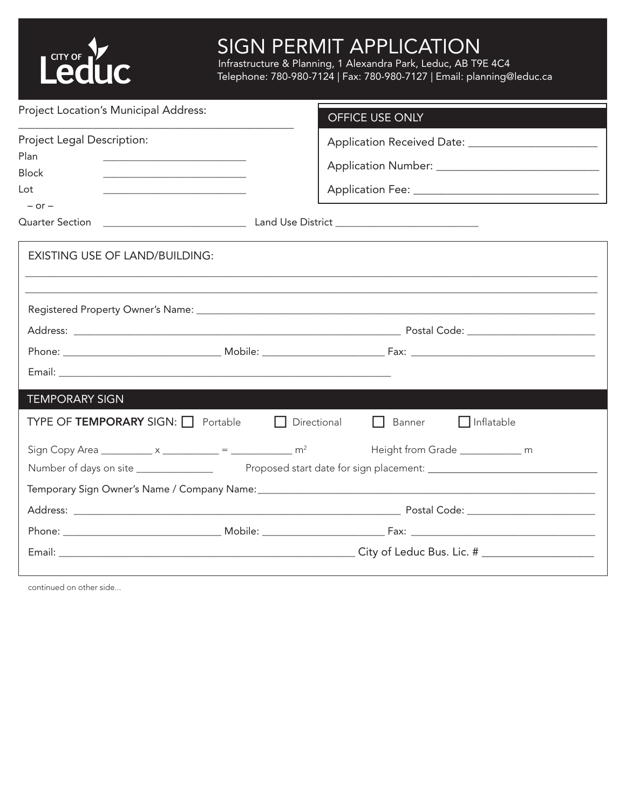

## SIGN PERMIT APPLICATION Infrastructure & Planning, 1 Alexandra Park, Leduc, AB T9E 4C4 SIGN PERMIT APPLICATION Infrastructure & Planning, 1 Alexandra Park, Leduc, AB T9E 4C4

Telephone: 780-980-7124 | Fax: 780-980-7127 | Email: planning@leduc.ca Telephone: 780-980-7124 | Fax: 780-980-7127 | Email: planning@leduc.ca

| Project Location's Municipal Address:                                                                                        | OFFICE USE ONLY                                                                                 |  |  |
|------------------------------------------------------------------------------------------------------------------------------|-------------------------------------------------------------------------------------------------|--|--|
| Project Legal Description:                                                                                                   | Application Received Date: ___________________________                                          |  |  |
| Plan                                                                                                                         |                                                                                                 |  |  |
| <b>Block</b>                                                                                                                 |                                                                                                 |  |  |
| Lot<br><u> 1989 - Johann Harry Harry Harry Harry Harry Harry Harry Harry Harry Harry Harry Harry Harry Harry Harry Harry</u> |                                                                                                 |  |  |
| $-$ or $-$                                                                                                                   |                                                                                                 |  |  |
|                                                                                                                              |                                                                                                 |  |  |
| <b>EXISTING USE OF LAND/BUILDING:</b>                                                                                        |                                                                                                 |  |  |
|                                                                                                                              |                                                                                                 |  |  |
|                                                                                                                              |                                                                                                 |  |  |
|                                                                                                                              |                                                                                                 |  |  |
|                                                                                                                              |                                                                                                 |  |  |
|                                                                                                                              |                                                                                                 |  |  |
| <b>TEMPORARY SIGN</b>                                                                                                        |                                                                                                 |  |  |
| <b>TYPE OF TEMPORARY SIGN:</b> Portable                                                                                      | $\Box$ Inflatable<br>Directional<br>Banner<br>$\Box$                                            |  |  |
|                                                                                                                              | Sign Copy Area __________ x _________ = _________ m <sup>2</sup> Height from Grade __________ m |  |  |
|                                                                                                                              |                                                                                                 |  |  |
|                                                                                                                              |                                                                                                 |  |  |
|                                                                                                                              |                                                                                                 |  |  |
|                                                                                                                              |                                                                                                 |  |  |
|                                                                                                                              |                                                                                                 |  |  |
|                                                                                                                              |                                                                                                 |  |  |

continued on other side...